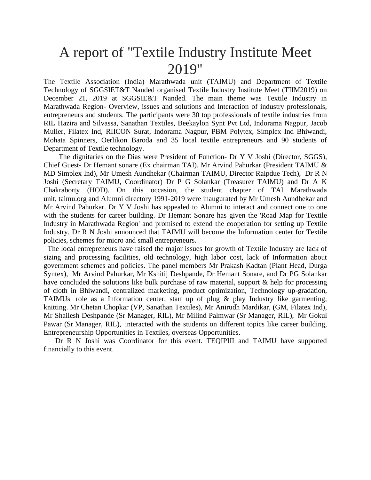## A report of "Textile Industry Institute Meet 2019"

The Textile Association (India) Marathwada unit (TAIMU) and Department of Textile Technology of SGGSIET&T Nanded organised Textile Industry Institute Meet (TIIM2019) on December 21, 2019 at SGGSIE&T Nanded. The main theme was Textile Industry in Marathwada Region- Overview, issues and solutions and Interaction of industry professionals, entrepreneurs and students. The participants were 30 top professionals of textile industries from RIL Hazira and Silvassa, Sanathan Textiles, Beekaylon Synt Pvt Ltd, Indorama Nagpur, Jacob Muller, Filatex Ind, RIICON Surat, Indorama Nagpur, PBM Polytex, Simplex Ind Bhiwandi, Mohata Spinners, Oerlikon Baroda and 35 local textile entrepreneurs and 90 students of Department of Textile technology.

The dignitaries on the Dias were President of Function- Dr Y V Joshi (Director, SGGS), Chief Guest- Dr Hemant sonare (Ex chairman TAI), Mr Arvind Pahurkar (President TAIMU & MD Simplex Ind), Mr Umesh Aundhekar (Chairman TAIMU, Director Raipdue Tech), Dr R N Joshi (Secretary TAIMU, Coordinator) Dr P G Solankar (Treasurer TAIMU) and Dr A K Chakraborty (HOD). On this occasion, the student chapter of TAI Marathwada unit, [taimu.org](http://taimu.org/) and Alumni directory 1991-2019 were inaugurated by Mr Umesh Aundhekar and Mr Arvind Pahurkar. Dr Y V Joshi has appealed to Alumni to interact and connect one to one with the students for career building. Dr Hemant Sonare has given the 'Road Map for Textile Industry in Marathwada Region' and promised to extend the cooperation for setting up Textile Industry. Dr R N Joshi announced that TAIMU will become the Information center for Textile policies, schemes for micro and small entrepreneurs.

The local entrepreneurs have raised the major issues for growth of Textile Industry are lack of sizing and processing facilities, old technology, high labor cost, lack of Information about government schemes and policies. The panel members Mr Prakash Kadtan (Plant Head, Durga Syntex), Mr Arvind Pahurkar, Mr Kshitij Deshpande, Dr Hemant Sonare, and Dr PG Solankar have concluded the solutions like bulk purchase of raw material, support & help for processing of cloth in Bhiwandi, centralized marketing, product optimization, Technology up-gradation, TAIMUs role as a Information center, start up of plug & play Industry like garmenting, knitting. Mr Chetan Chopkar (VP, Sanathan Textiles), Mr Anirudh Mardikar, (GM, Filatex Ind), Mr Shailesh Deshpande (Sr Manager, RIL), Mr Milind Palmwar (Sr Manager, RIL), Mr Gokul Pawar (Sr Manager, RIL), interacted with the students on different topics like career building, Entrepreneurship Opportunities in Textiles, overseas Opportunities.

Dr R N Joshi was Coordinator for this event. TEQIPIII and TAIMU have supported financially to this event.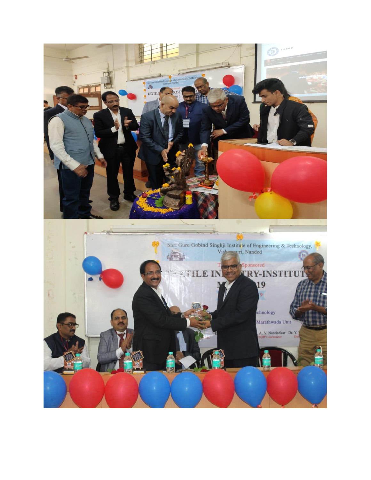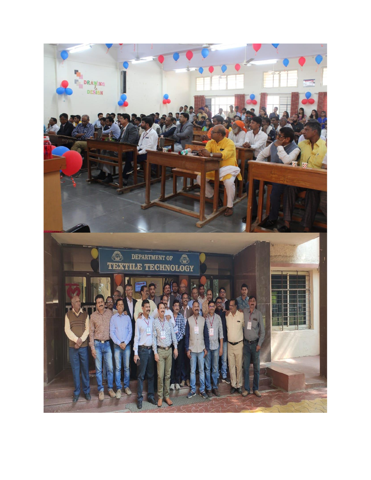